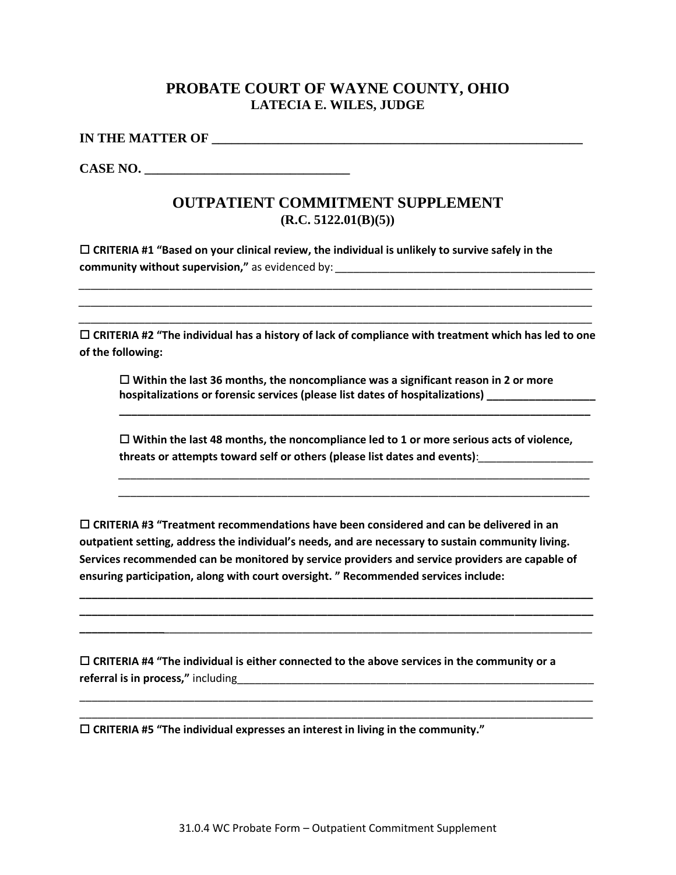## **PROBATE COURT OF WAYNE COUNTY, OHIO LATECIA E. WILES, JUDGE**

**IN THE MATTER OF \_\_\_\_\_\_\_\_\_\_\_\_\_\_\_\_\_\_\_\_\_\_\_\_\_\_\_\_\_\_\_\_\_\_\_\_\_\_\_\_\_\_\_\_\_\_\_\_\_\_\_\_\_\_\_\_**

CASE NO.

## **OUTPATIENT COMMITMENT SUPPLEMENT (R.C. 5122.01(B)(5))**

 **CRITERIA #1 "Based on your clinical review, the individual is unlikely to survive safely in the community without supervision,"** as evidenced by: *\_\_\_\_\_\_\_\_\_\_\_\_\_\_\_\_\_\_\_\_\_\_\_\_\_\_\_\_\_\_\_\_\_\_\_\_\_\_\_\_\_\_\_*

 **CRITERIA #2 "The individual has a history of lack of compliance with treatment which has led to one of the following:**

*\_\_\_\_\_\_\_\_\_\_\_\_\_\_\_\_\_\_\_\_\_\_\_\_\_\_\_\_\_\_\_\_\_\_\_\_\_\_\_\_\_\_\_\_\_\_\_\_\_\_\_\_\_\_\_\_\_\_\_\_\_\_\_\_\_\_\_\_\_\_\_\_\_\_\_\_\_\_\_\_\_\_\_\_\_ \_\_\_\_\_\_\_\_\_\_\_\_\_\_\_\_\_\_\_\_\_\_\_\_\_\_\_\_\_\_\_\_\_\_\_\_\_\_\_\_\_\_\_\_\_\_\_\_\_\_\_\_\_\_\_\_\_\_\_\_\_\_\_\_\_\_\_\_\_\_\_\_\_\_\_\_\_\_\_\_\_\_\_\_\_ \_\_\_\_\_\_\_\_\_\_\_\_\_\_\_\_\_\_\_\_\_\_\_\_\_\_\_\_\_\_\_\_\_\_\_\_\_\_\_\_\_\_\_\_\_\_\_\_\_\_\_\_\_\_\_\_\_\_\_\_\_\_\_\_\_\_\_\_\_\_\_\_\_\_\_\_\_\_\_\_\_\_\_\_\_*

 **Within the last 36 months, the noncompliance was a significant reason in 2 or more**  hospitalizations or forensic services (please list dates of hospitalizations)

 **Within the last 48 months, the noncompliance led to 1 or more serious acts of violence, threats or attempts toward self or others (please list dates and events)**:*\_\_\_\_\_\_\_\_\_\_\_\_\_\_\_\_\_\_\_*

**\_\_\_\_\_\_\_\_\_\_\_\_\_\_\_\_\_\_\_\_\_\_\_\_\_\_\_\_\_\_\_\_\_\_\_\_\_\_\_\_\_\_\_\_\_\_\_\_\_\_\_\_\_\_\_\_\_\_\_\_\_\_\_\_\_\_\_\_\_\_\_\_\_\_\_\_\_\_**

*\_\_\_\_\_\_\_\_\_\_\_\_\_\_\_\_\_\_\_\_\_\_\_\_\_\_\_\_\_\_\_\_\_\_\_\_\_\_\_\_\_\_\_\_\_\_\_\_\_\_\_\_\_\_\_\_\_\_\_\_\_\_\_\_\_\_\_\_\_\_\_\_\_\_\_\_\_\_ \_\_\_\_\_\_\_\_\_\_\_\_\_\_\_\_\_\_\_\_\_\_\_\_\_\_\_\_\_\_\_\_\_\_\_\_\_\_\_\_\_\_\_\_\_\_\_\_\_\_\_\_\_\_\_\_\_\_\_\_\_\_\_\_\_\_\_\_\_\_\_\_\_\_\_\_\_\_*

 **CRITERIA #3 "Treatment recommendations have been considered and can be delivered in an outpatient setting, address the individual's needs, and are necessary to sustain community living. Services recommended can be monitored by service providers and service providers are capable of ensuring participation, along with court oversight. " Recommended services include:** 

**\_\_\_\_\_\_\_\_\_\_\_\_\_\_\_\_\_\_\_\_\_\_\_\_\_\_\_\_\_\_\_\_\_\_\_\_\_\_\_\_\_\_\_\_\_\_\_\_\_\_\_\_\_\_\_\_\_\_\_\_\_\_\_\_\_\_\_\_\_\_\_\_\_\_\_\_\_\_\_\_\_\_\_\_\_ \_\_\_\_\_\_\_\_\_\_\_\_\_\_\_\_\_\_\_\_\_\_\_\_\_\_\_\_\_\_\_\_\_\_\_\_\_\_\_\_\_\_\_\_\_\_\_\_\_\_\_\_\_\_\_\_\_\_\_\_\_\_\_\_\_\_\_\_\_\_\_\_\_\_\_\_\_\_\_\_\_\_\_\_\_ \_\_\_\_\_\_\_\_\_\_\_\_\_\_***\_\_\_\_\_\_\_\_\_\_\_\_\_\_\_\_\_\_\_\_\_\_\_\_\_\_\_\_\_\_\_\_\_\_\_\_\_\_\_\_\_\_\_\_\_\_\_\_\_\_\_\_\_\_\_\_\_\_\_\_\_\_\_\_\_\_\_\_\_\_\_*

\_\_\_\_\_\_\_\_\_\_\_\_\_\_\_\_\_\_\_\_\_\_\_\_\_\_\_\_\_\_\_\_\_\_\_\_\_\_\_\_\_\_\_\_\_\_\_\_\_\_\_\_\_\_\_\_\_\_\_\_\_\_\_\_\_\_\_\_\_\_\_\_\_\_\_\_\_\_\_\_\_\_\_\_\_ \_\_\_\_\_\_\_\_\_\_\_\_\_\_\_\_\_\_\_\_\_\_\_\_\_\_\_\_\_\_\_\_\_\_\_\_\_\_\_\_\_\_\_\_\_\_\_\_\_\_\_\_\_\_\_\_\_\_\_\_\_\_\_\_\_\_\_\_\_\_\_\_\_\_\_\_\_\_\_\_\_\_\_\_\_

 **CRITERIA #4 "The individual is either connected to the above services in the community or a referral is in process,"** including\_\_\_\_\_\_\_\_\_\_\_\_\_\_\_\_\_\_\_\_\_\_\_\_\_\_\_\_\_\_\_\_\_\_\_\_\_\_\_\_\_\_\_\_\_\_\_\_\_\_\_\_\_\_\_\_\_\_\_

**CRITERIA #5 "The individual expresses an interest in living in the community."**